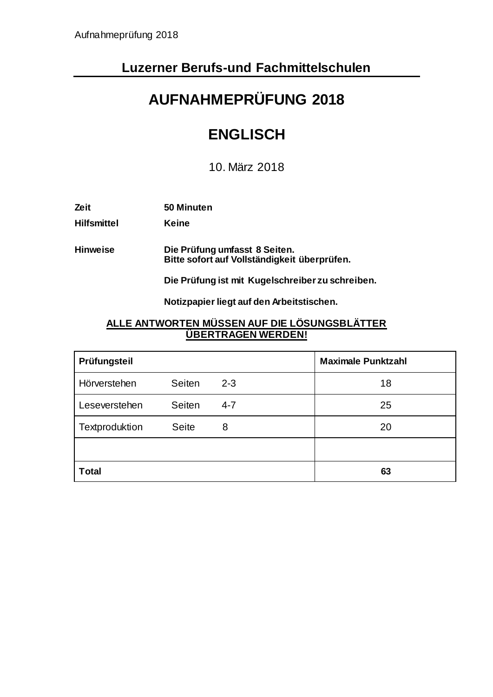# **Luzerner Berufs-und Fachmittelschulen**

# **AUFNAHMEPRÜFUNG 2018**

# **ENGLISCH**

10. März 2018

**Zeit 50 Minuten**

**Hilfsmittel Keine**

**Hinweise Die Prüfung umfasst 8 Seiten. Bitte sofort auf Vollständigkeit überprüfen.**

**Die Prüfung ist mit Kugelschreiber zu schreiben.**

**Notizpapier liegt auf den Arbeitstischen.**

# **ALLE ANTWORTEN MÜSSEN AUF DIE LÖSUNGSBLÄTTER ÜBERTRAGEN WERDEN!**

| Prüfungsteil   |               |         | <b>Maximale Punktzahl</b> |  |
|----------------|---------------|---------|---------------------------|--|
| Hörverstehen   | <b>Seiten</b> | $2 - 3$ | 18                        |  |
| Leseverstehen  | <b>Seiten</b> | $4 - 7$ | 25                        |  |
| Textproduktion | <b>Seite</b>  | 8       | 20                        |  |
|                |               |         |                           |  |
| <b>Total</b>   |               |         | 63                        |  |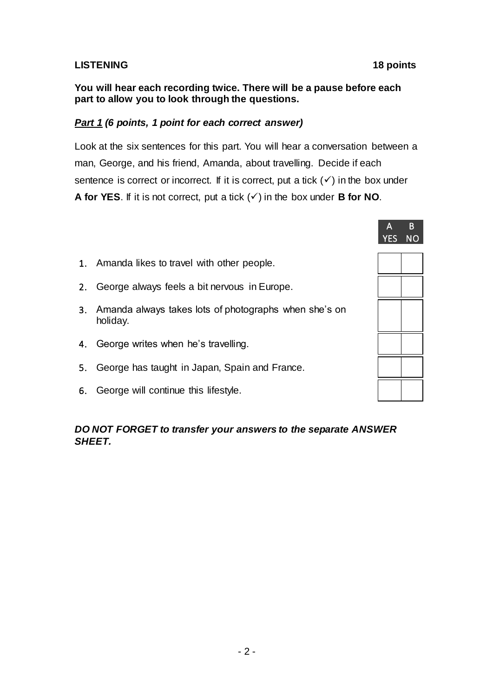#### **LISTENING 18 points**

# *Part 1 (6 points, 1 point for each correct answer)*

Look at the six sentences for this part. You will hear a conversation between a man, George, and his friend, Amanda, about travelling. Decide if each sentence is correct or incorrect. If it is correct, put a tick  $(v)$  in the box under **A for YES.** If it is not correct, put a tick  $(\checkmark)$  in the box under **B** for NO.

- 1. Amanda likes to travel with other people.
- 2. George always feels a bit nervous in Europe.
- 3. Amanda always takes lots of photographs when she's on holiday.
- 4. George writes when he's travelling.
- 5. George has taught in Japan, Spain and France.
- 6. George will continue this lifestyle.

#### *DO NOT FORGET to transfer your answers to the separate ANSWER SHEET.*

| A<br>YES | B<br><b>NO</b> |
|----------|----------------|
|          |                |
|          |                |
|          |                |
|          |                |
|          |                |
|          |                |
|          |                |

- 2 -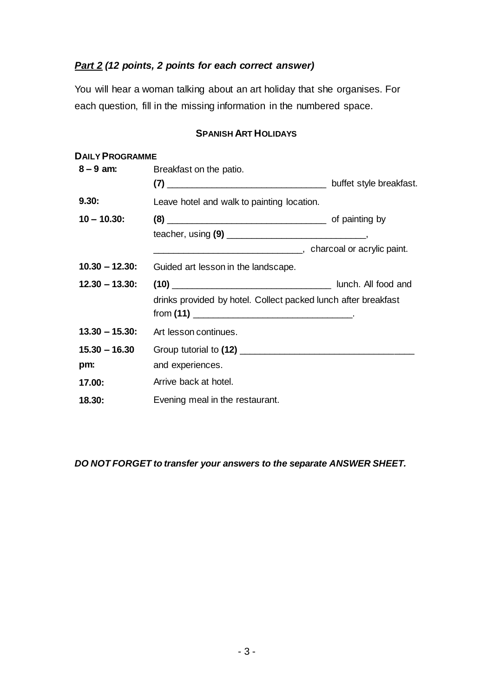# *Part 2 (12 points, 2 points for each correct answer)*

You will hear a woman talking about an art holiday that she organises. For each question, fill in the missing information in the numbered space.

#### **SPANISH ART HOLIDAYS**

| <b>DAILY PROGRAMME</b> |                                                                |                         |  |
|------------------------|----------------------------------------------------------------|-------------------------|--|
| $8 - 9$ am:            | Breakfast on the patio.                                        |                         |  |
|                        |                                                                | buffet style breakfast. |  |
| 9.30:                  | Leave hotel and walk to painting location.                     |                         |  |
| $10 - 10.30$ :         |                                                                |                         |  |
|                        |                                                                |                         |  |
|                        | charcoal or acrylic paint.                                     |                         |  |
| $10.30 - 12.30$ :      | Guided art lesson in the landscape.                            |                         |  |
| $12.30 - 13.30$ :      |                                                                |                         |  |
|                        | drinks provided by hotel. Collect packed lunch after breakfast |                         |  |
| $13.30 - 15.30$ :      | Art lesson continues.                                          |                         |  |
| $15.30 - 16.30$        |                                                                |                         |  |
| pm:                    | and experiences.                                               |                         |  |
| 17.00:                 | Arrive back at hotel.                                          |                         |  |
| 18.30:                 | Evening meal in the restaurant.                                |                         |  |

*DO NOT FORGET to transfer your answers to the separate ANSWER SHEET.*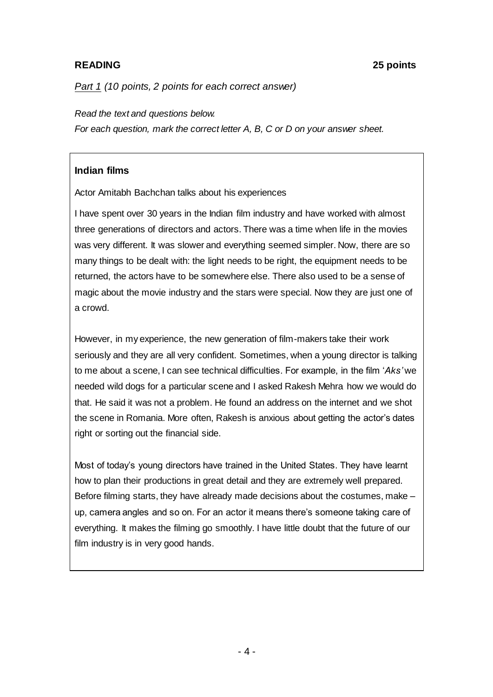# **READING 25 points**

*Part 1 (10 points, 2 points for each correct answer)*

*Read the text and questions below.* 

*For each question, mark the correct letter A, B, C or D on your answer sheet.*

# **Indian films**

Actor Amitabh Bachchan talks about his experiences

I have spent over 30 years in the Indian film industry and have worked with almost three generations of directors and actors. There was a time when life in the movies was very different. It was slower and everything seemed simpler. Now, there are so many things to be dealt with: the light needs to be right, the equipment needs to be returned, the actors have to be somewhere else. There also used to be a sense of magic about the movie industry and the stars were special. Now they are just one of a crowd.

However, in my experience, the new generation of film-makers take their work seriously and they are all very confident. Sometimes, when a young director is talking to me about a scene, I can see technical difficulties. For example, in the film '*Aks'* we needed wild dogs for a particular scene and I asked Rakesh Mehra how we would do that. He said it was not a problem. He found an address on the internet and we shot the scene in Romania. More often, Rakesh is anxious about getting the actor's dates right or sorting out the financial side.

Most of today's young directors have trained in the United States. They have learnt how to plan their productions in great detail and they are extremely well prepared. Before filming starts, they have already made decisions about the costumes, make – up, camera angles and so on. For an actor it means there's someone taking care of everything. It makes the filming go smoothly. I have little doubt that the future of our film industry is in very good hands.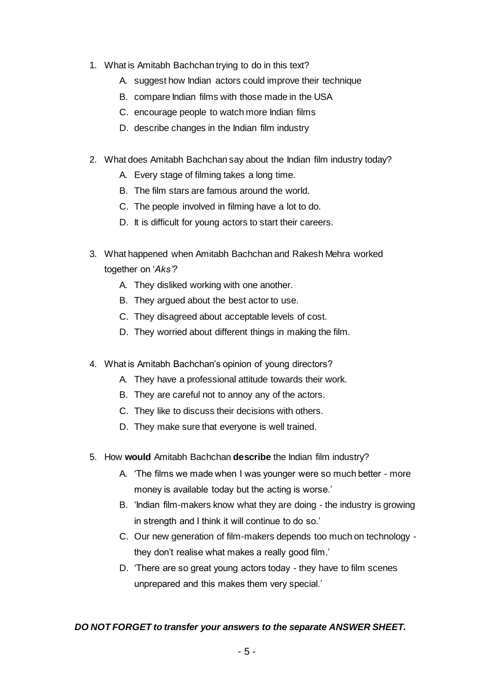- 1. What is Amitabh Bachchan trying to do in this text?
	- A. suggest how Indian actors could improve their technique
	- B. compare Indian films with those made in the USA
	- C. encourage people to watch more Indian films
	- D. describe changes in the Indian film industry
- 2. What does Amitabh Bachchan say about the Indian film industry today?
	- A. Every stage of filming takes a long time.
	- B. The film stars are famous around the world.
	- C. The people involved in filming have a lot to do.
	- D. It is difficult for young actors to start their careers.
- 3. What happened when Amitabh Bachchan and Rakesh Mehra worked together on '*Aks'?*
	- A. They disliked working with one another.
	- B. They argued about the best actor to use.
	- C. They disagreed about acceptable levels of cost.
	- D. They worried about different things in making the film.
- 4. What is Amitabh Bachchan's opinion of young directors?
	- A. They have a professional attitude towards their work.
	- B. They are careful not to annoy any of the actors.
	- C. They like to discuss their decisions with others.
	- D. They make sure that everyone is well trained.
- 5. How **would** Amitabh Bachchan **describe** the Indian film industry?
	- A. 'The films we made when I was younger were so much better more money is available today but the acting is worse.'
	- B. 'Indian film-makers know what they are doing the industry is growing in strength and I think it will continue to do so.'
	- C. Our new generation of film-makers depends too much on technology they don't realise what makes a really good film.'
	- D. 'There are so great young actors today they have to film scenes unprepared and this makes them very special.'

### *DO NOT FORGET to transfer your answers to the separate ANSWER SHEET.*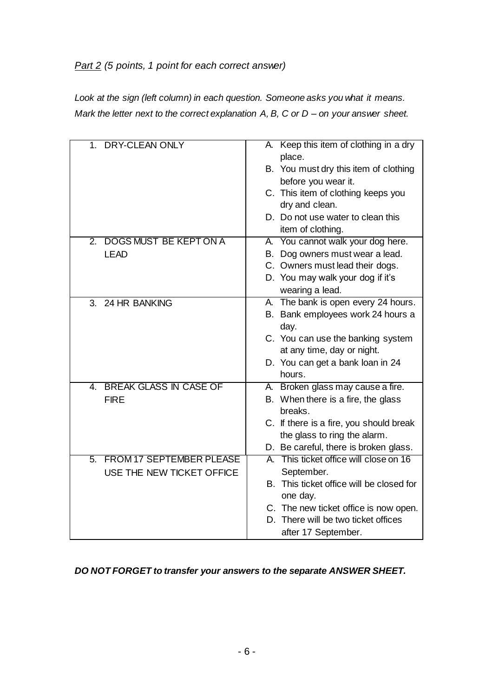# *Part 2 (5 points, 1 point for each correct answer)*

*Look at the sign (left column) in each question. Someone asks you what it means. Mark the letter next to the correct explanation A, B, C or D – on your answer sheet.* 

| 1. DRY-CLEAN ONLY                                 | A. Keep this item of clothing in a dry<br>place. |
|---------------------------------------------------|--------------------------------------------------|
|                                                   | B. You must dry this item of clothing            |
|                                                   | before you wear it.                              |
|                                                   | C. This item of clothing keeps you               |
|                                                   | dry and clean.                                   |
|                                                   | D. Do not use water to clean this                |
|                                                   | item of clothing.                                |
| <b>DOGS MUST BE KEPT ON A</b><br>$\overline{2}$ . | A. You cannot walk your dog here.                |
| <b>LEAD</b>                                       | B. Dog owners must wear a lead.                  |
|                                                   | C. Owners must lead their dogs.                  |
|                                                   | D. You may walk your dog if it's                 |
|                                                   | wearing a lead.                                  |
| 3. 24 HR BANKING                                  | A. The bank is open every 24 hours.              |
|                                                   | B. Bank employees work 24 hours a                |
|                                                   | day.                                             |
|                                                   | C. You can use the banking system                |
|                                                   | at any time, day or night.                       |
|                                                   | D. You can get a bank loan in 24                 |
| <b>BREAK GLASS IN CASE OF</b><br>4.               | hours.<br>A. Broken glass may cause a fire.      |
| <b>FIRE</b>                                       | B. When there is a fire, the glass               |
|                                                   | breaks.                                          |
|                                                   | C. If there is a fire, you should break          |
|                                                   | the glass to ring the alarm.                     |
|                                                   | D. Be careful, there is broken glass.            |
| <b>FROM 17 SEPTEMBER PLEASE</b><br>5.             | A. This ticket office will close on 16           |
| USE THE NEW TICKET OFFICE                         | September.                                       |
|                                                   | B. This ticket office will be closed for         |
|                                                   | one day.                                         |
|                                                   | C. The new ticket office is now open.            |
|                                                   | D. There will be two ticket offices              |
|                                                   | after 17 September.                              |

#### *DO NOT FORGET to transfer your answers to the separate ANSWER SHEET.*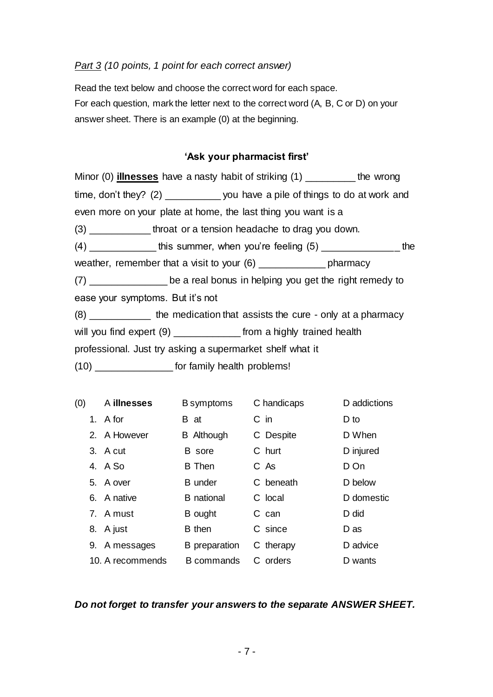#### *Part 3 (10 points, 1 point for each correct answer)*

Read the text below and choose the correct word for each space. For each question, mark the letter next to the correct word (A, B, C or D) on your answer sheet. There is an example (0) at the beginning.

# **'Ask your pharmacist first'**

| (0) | A illnesses      | <b>B</b> symptoms    | C handicaps     | D addictions |
|-----|------------------|----------------------|-----------------|--------------|
|     | 1. A for         | B at                 | C in            | D to         |
|     | 2. A However     | <b>B</b> Although    | C Despite       | D When       |
|     | 3. A cut         | B sore               | C hurt          | D injured    |
|     | 4. A So          | <b>B</b> Then        | C <sub>AS</sub> | D On         |
|     | 5. A over        | <b>B</b> under       | C beneath       | D below      |
|     | 6. A native      | <b>B</b> national    | C local         | D domestic   |
|     | 7. A must        | B ought              | C can           | D did        |
|     | 8. A just        | <b>B</b> then        | C since         | D as         |
|     | 9. A messages    | <b>B</b> preparation | C therapy       | D advice     |
|     | 10. A recommends | <b>B</b> commands    | C orders        | D wants      |
|     |                  |                      |                 |              |

### *Do not forget to transfer your answers to the separate ANSWER SHEET.*